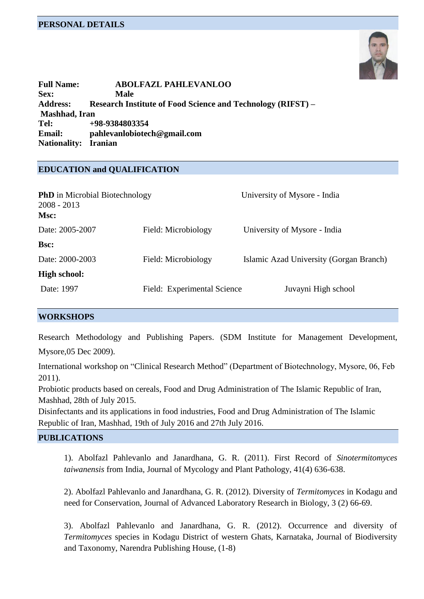# **PERSONAL DETAILS**



**Full Name: ABOLFAZL PAHLEVANLOO Sex: Male Address: Research Institute of Food Science and Technology (RIFST) – Mashhad, Iran Tel: +98-9384803354 Email: pahlevanlobiotech@gmail.com Nationality: Iranian**

### **EDUCATION and QUALIFICATION**

| <b>PhD</b> in Microbial Biotechnology<br>$2008 - 2013$<br>Msc: |                             | University of Mysore - India            |
|----------------------------------------------------------------|-----------------------------|-----------------------------------------|
| Date: 2005-2007                                                | Field: Microbiology         | University of Mysore - India            |
| Bsc:                                                           |                             |                                         |
| Date: 2000-2003                                                | Field: Microbiology         | Islamic Azad University (Gorgan Branch) |
| <b>High school:</b>                                            |                             |                                         |
| Date: 1997                                                     | Field: Experimental Science | Juvayni High school                     |

# **WORKSHOPS**

Research Methodology and Publishing Papers. (SDM Institute for Management Development,

Mysore,05 Dec 2009).

International workshop on "Clinical Research Method" (Department of Biotechnology, Mysore, 06, Feb 2011).

Probiotic products based on cereals, Food and Drug Administration of The Islamic Republic of Iran, Mashhad, 28th of July 2015.

Disinfectants and its applications in food industries, Food and Drug Administration of The Islamic Republic of Iran, Mashhad, 19th of July 2016 and 27th July 2016.

### **PUBLICATIONS**

1). Abolfazl Pahlevanlo and Janardhana, G. R. (2011). First Record of *Sinotermitomyces taiwanensis* from India, Journal of Mycology and Plant Pathology, 41(4) 636-638.

2). Abolfazl Pahlevanlo and Janardhana, G. R. (2012). Diversity of *Termitomyces* in Kodagu and need for Conservation, Journal of Advanced Laboratory Research in Biology, 3 (2) 66-69.

3). Abolfazl Pahlevanlo and Janardhana, G. R. (2012). Occurrence and diversity of *Termitomyces* species in Kodagu District of western Ghats, Karnataka, Journal of Biodiversity and Taxonomy, Narendra Publishing House, (1-8)